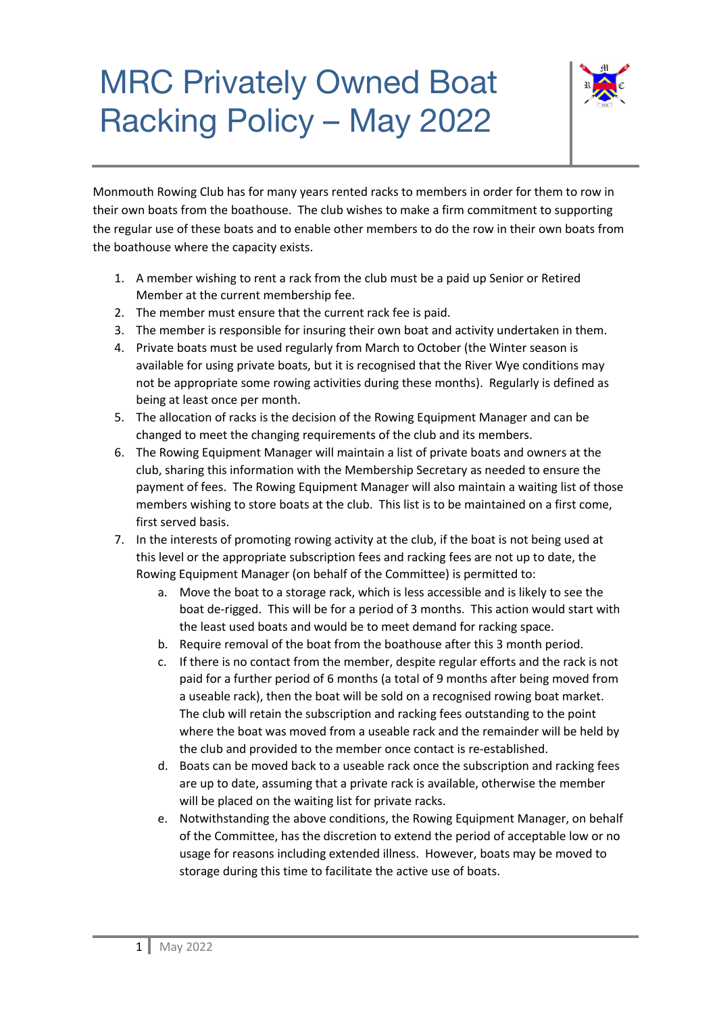## MRC Privately Owned Boat Racking Policy – May 2022



Monmouth Rowing Club has for many years rented racks to members in order for them to row in their own boats from the boathouse. The club wishes to make a firm commitment to supporting the regular use of these boats and to enable other members to do the row in their own boats from the boathouse where the capacity exists.

- 1. A member wishing to rent a rack from the club must be a paid up Senior or Retired Member at the current membership fee.
- 2. The member must ensure that the current rack fee is paid.
- 3. The member is responsible for insuring their own boat and activity undertaken in them.
- 4. Private boats must be used regularly from March to October (the Winter season is available for using private boats, but it is recognised that the River Wye conditions may not be appropriate some rowing activities during these months). Regularly is defined as being at least once per month.
- 5. The allocation of racks is the decision of the Rowing Equipment Manager and can be changed to meet the changing requirements of the club and its members.
- 6. The Rowing Equipment Manager will maintain a list of private boats and owners at the club, sharing this information with the Membership Secretary as needed to ensure the payment of fees. The Rowing Equipment Manager will also maintain a waiting list of those members wishing to store boats at the club. This list is to be maintained on a first come, first served basis.
- 7. In the interests of promoting rowing activity at the club, if the boat is not being used at this level or the appropriate subscription fees and racking fees are not up to date, the Rowing Equipment Manager (on behalf of the Committee) is permitted to:
	- a. Move the boat to a storage rack, which is less accessible and is likely to see the boat de-rigged. This will be for a period of 3 months. This action would start with the least used boats and would be to meet demand for racking space.
	- b. Require removal of the boat from the boathouse after this 3 month period.
	- c. If there is no contact from the member, despite regular efforts and the rack is not paid for a further period of 6 months (a total of 9 months after being moved from a useable rack), then the boat will be sold on a recognised rowing boat market. The club will retain the subscription and racking fees outstanding to the point where the boat was moved from a useable rack and the remainder will be held by the club and provided to the member once contact is re-established.
	- d. Boats can be moved back to a useable rack once the subscription and racking fees are up to date, assuming that a private rack is available, otherwise the member will be placed on the waiting list for private racks.
	- e. Notwithstanding the above conditions, the Rowing Equipment Manager, on behalf of the Committee, has the discretion to extend the period of acceptable low or no usage for reasons including extended illness. However, boats may be moved to storage during this time to facilitate the active use of boats.